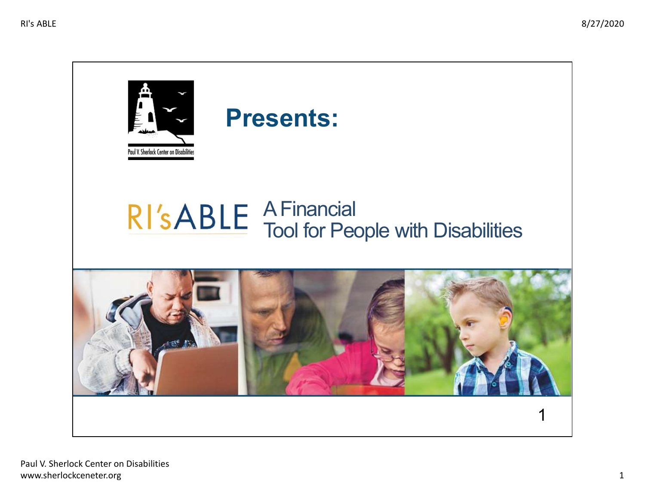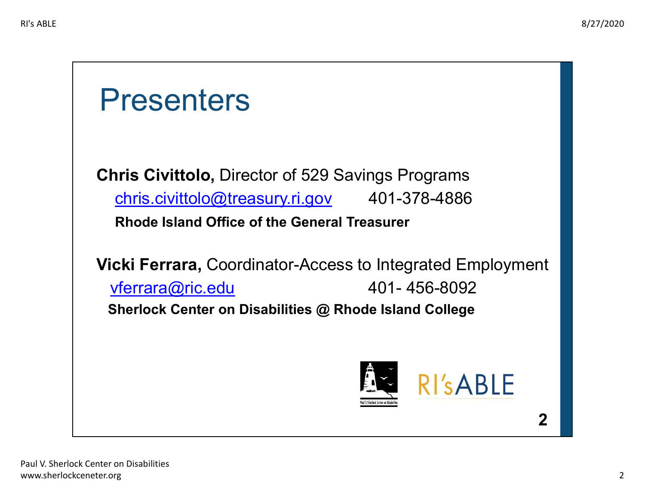## Presenters

Chris Civittolo, Director of 529 Savings Programs [chris.civittolo@treasury.ri.gov](mailto:chris.civittolo@treasury.ri.gov) 401-378-4886 Rhode Island Office of the General Treasurer

Vicki Ferrara, Coordinator-Access to Integrated Employment [vferrara@ric.edu](mailto:vferrara@ric.edu) 401- 456-8092 Sherlock Center on Disabilities @ Rhode Island College



2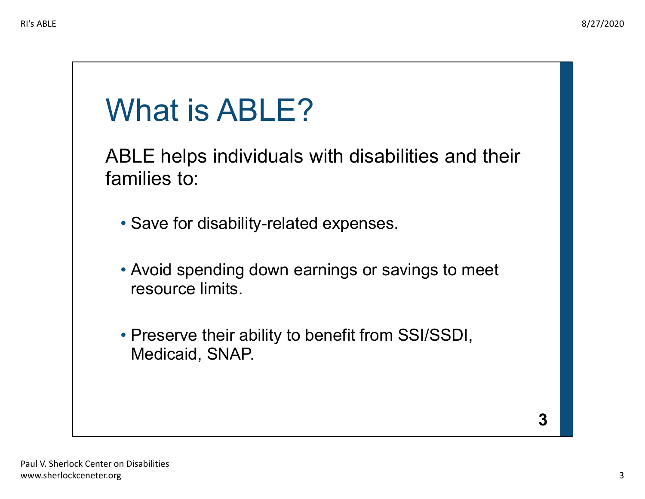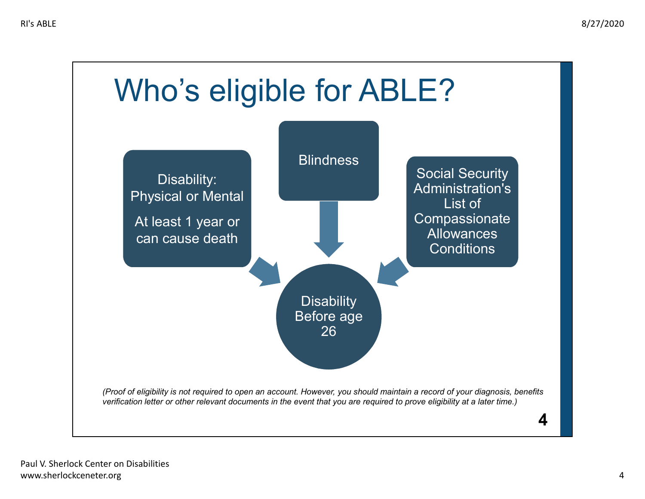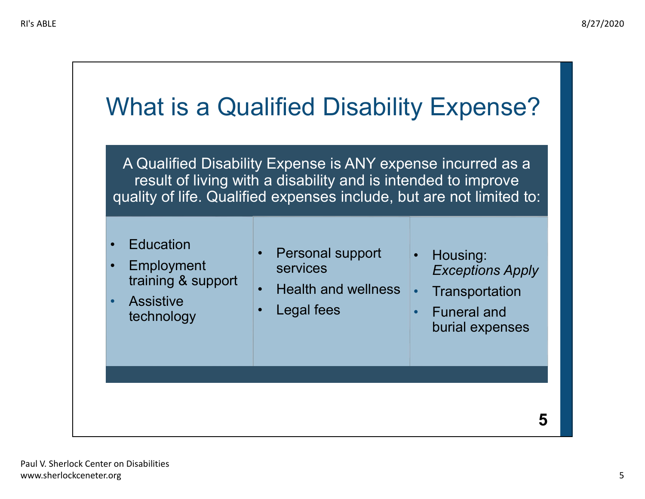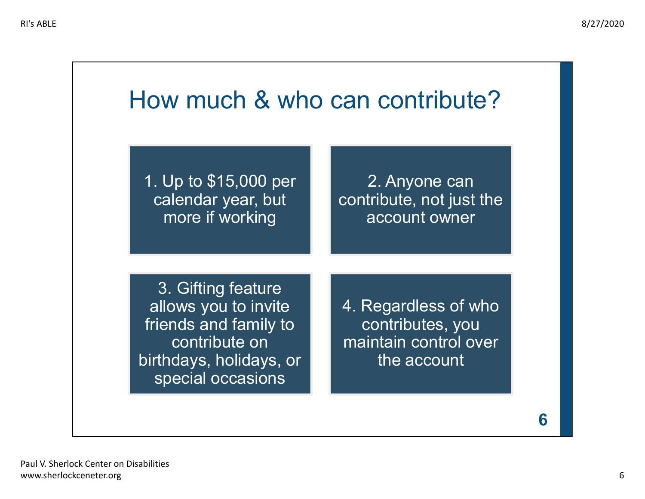## How much & who can contribute?

1. Up to \$15,000 per calendar year, but more if working

2. Anyone can contribute, not just the account owner

3. Gifting feature allows you to invite friends and family to contribute on birthdays, holidays, or special occasions

4. Regardless of who contributes, you maintain control over the account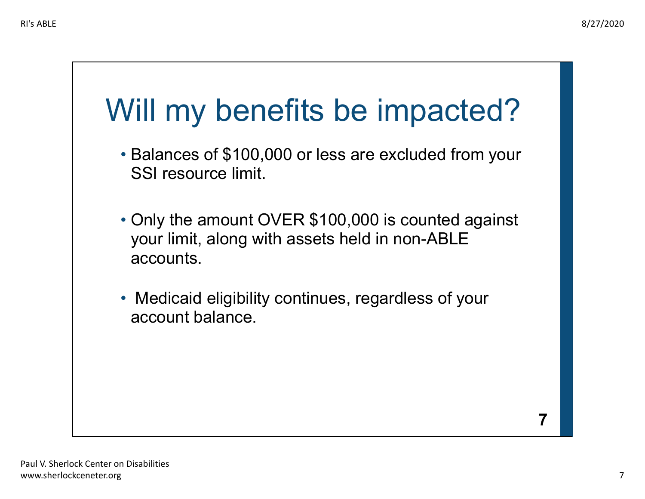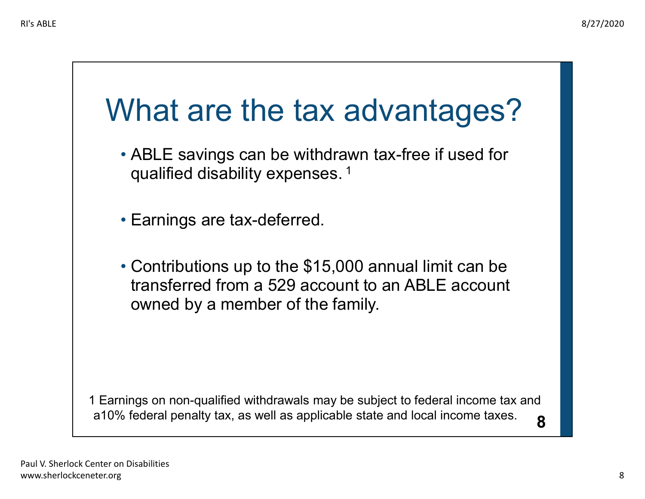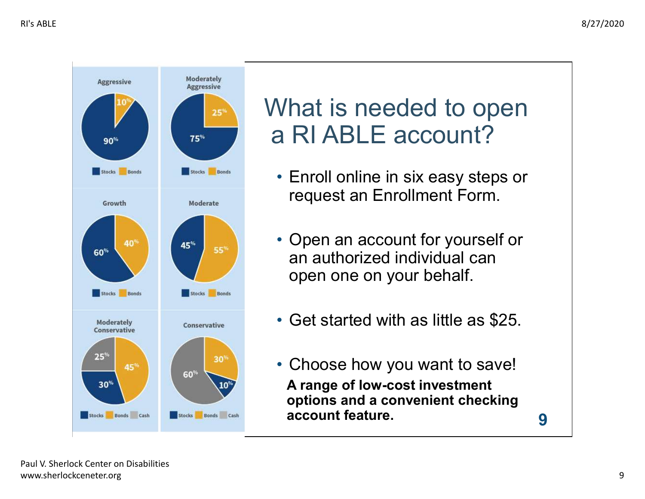

## What is needed to open a RI ABLE account?

- • Enroll online in six easy steps or request an Enrollment Form.
- • Open an account for yourself or an authorized individual can open one on your behalf.
- Get started with as little as \$25.
- • Choose how you want to save! A range of low-cost investment options and a convenient checking account feature.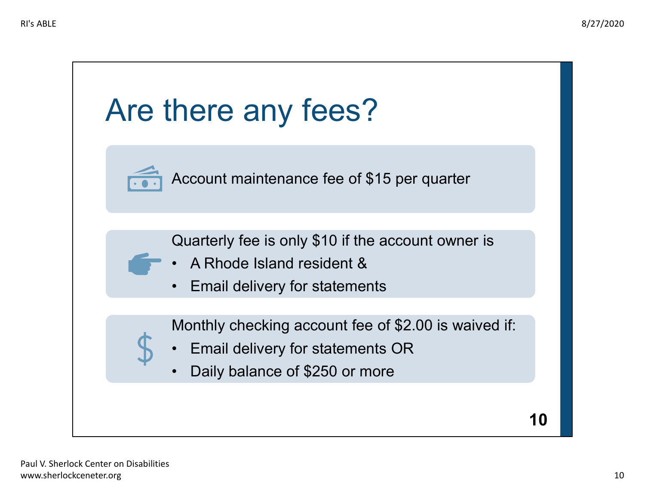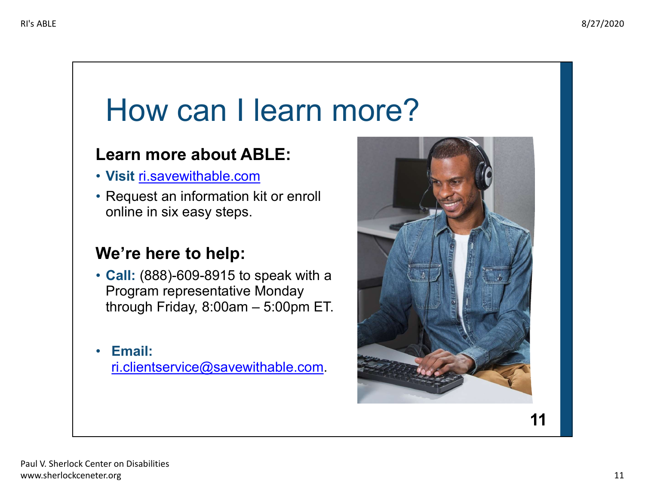# How can I learn more?

#### Learn more about ABLE:

- Visit [ri.savewithable.com](https://ri.savewithable.com)
- • Request an information kit or enroll online in six easy steps.

#### We're here to help:

- • Call: (888)-609-8915 to speak with a Program representative Monday through Friday, 8:00am – 5:00pm ET.
- Email:

[ri.clientservice@savewithable.com](mailto:ri.clientservice@savewithable.com).



11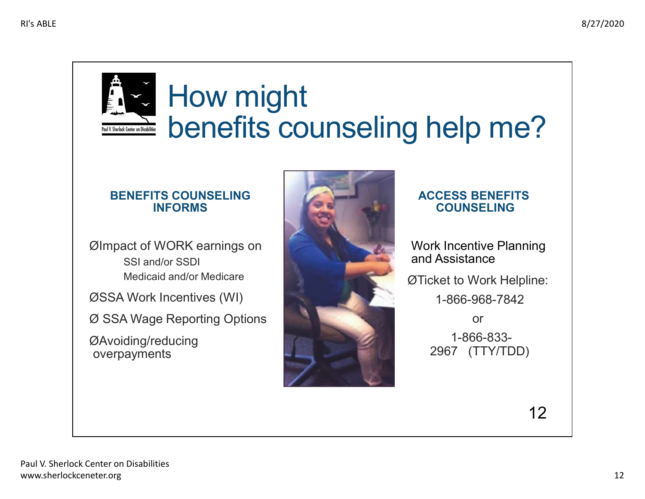

## How might benefits counseling help me?

### BENEFITS COUNSELING ACCESS BENEFITS<br>INFORMS COUNSELING

ØImpact of WORK earnings on Work Incentive Planning SSI and/or SSDI Medicaid and/or Medicare

ØSSA Work Incentives (WI) 1-866-968-7842

Ø SSA Wage Reporting Options or



### **COUNSELING**

**Work Incentive Planning** and Assistance

Medicaid and/or Medicare **All and Access of Access of Access of Access of Access of Access of Access of Access**  $\emptyset$  Ticket to Work Helpline:

12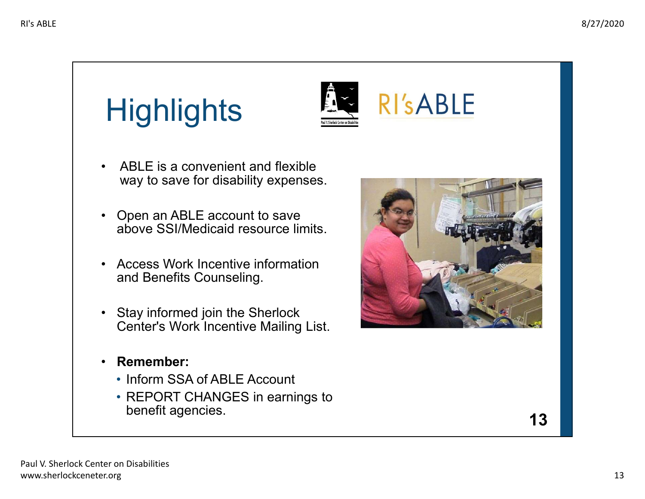# **Highlights**



- ABLE is a convenient and flexible way to save for disability expenses.
- Open an ABLE account to save above SSI/Medicaid resource limits.
- Access Work Incentive information and Benefits Counseling.
- Stay informed join the Sherlock Center's Work Incentive Mailing List.
- Remember:
	- Inform SSA of ABLE Account
	- REPORT CHANGES in earnings to benefit agencies. **13**

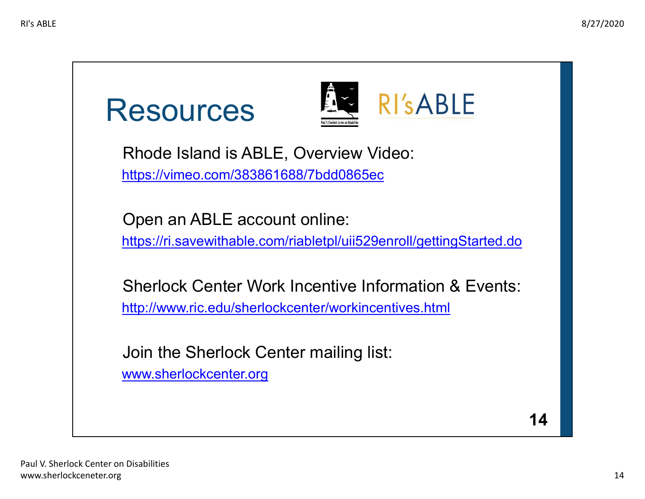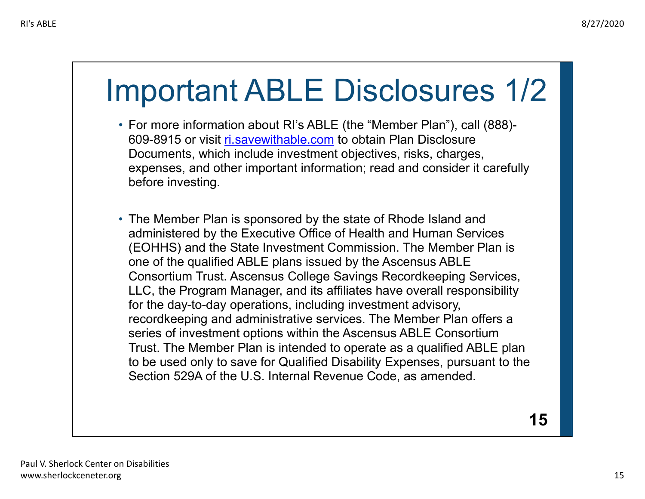# Important ABLE Disclosures 1/2

- For more information about RI's ABLE (the "Member Plan"), call (888) 609-8915 or visit <u>[ri.savewithable.com](https://ri.savewithable.com)</u> to obtain Plan Disclosure Documents, which include investment objectives, risks, charges, expenses, and other important information; read and consider it carefully before investing.
- The Member Plan is sponsored by the state of Rhode Island and administered by the Executive Office of Health and Human Services (EOHHS) and the State Investment Commission. The Member Plan is one of the qualified ABLE plans issued by the Ascensus ABLE Consortium Trust. Ascensus College Savings Recordkeeping Services, LLC, the Program Manager, and its affiliates have overall responsibility for the day-to-day operations, including investment advisory, recordkeeping and administrative services. The Member Plan offers a series of investment options within the Ascensus ABLE Consortium Trust. The Member Plan is intended to operate as a qualified ABLE plan to be used only to save for Qualified Disability Expenses, pursuant to the Section 529A of the U.S. Internal Revenue Code, as amended.